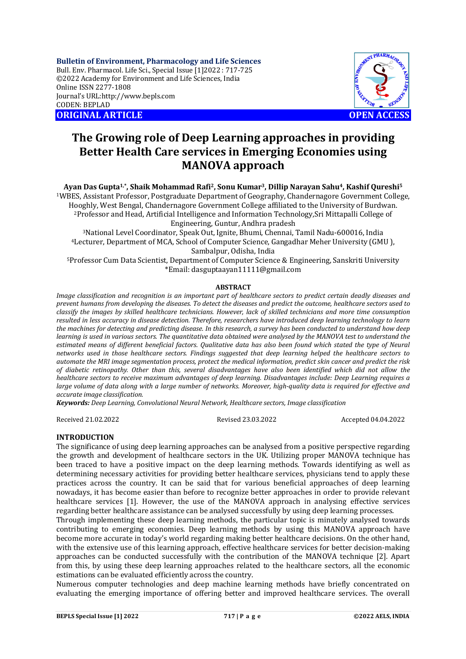**Bulletin of Environment, Pharmacology and Life Sciences** Bull. Env. Pharmacol. Life Sci., Special Issue [1]2022 : 717-725 ©2022 Academy for Environment and Life Sciences, India Online ISSN 2277-1808 Journal's URL:<http://www.bepls.com> CODEN: BEPLAD **ORIGINAL ARTICLE OPEN ACCESS** 



# **The Growing role of Deep Learning approaches in providing Better Health Care services in Emerging Economies using MANOVA approach**

## **Ayan Das Gupta1,\*, Shaik Mohammad Rafi2, Sonu Kumar3, Dillip Narayan Sahu4, Kashif Qureshi<sup>5</sup>**

<sup>1</sup>WBES, Assistant Professor, Postgraduate Department of Geography, Chandernagore Government College, Hooghly, West Bengal, Chandernagore Government College affiliated to the University of Burdwan. <sup>2</sup>Professor and Head, Artificial Intelligence and Information Technology,Sri Mittapalli College of Engineering, Guntur, Andhra pradesh

<sup>3</sup>National Level Coordinator, Speak Out, Ignite, Bhumi, Chennai, Tamil Nadu-600016, India <sup>4</sup>Lecturer, Department of MCA, School of Computer Science, Gangadhar Meher University (GMU ), Sambalpur, Odisha, India

<sup>5</sup>Professor Cum Data Scientist, Department of Computer Science & Engineering, Sanskriti University \*Email: [dasguptaayan11111@gmail.com](mailto:dasguptaayan11111@gmail.com)

## **ABSTRACT**

*Image classification and recognition is an important part of healthcare sectors to predict certain deadly diseases and prevent humans from developing the diseases. To detect the diseases and predict the outcome, healthcare sectors used to classify the images by skilled healthcare technicians. However, lack of skilled technicians and more time consumption resulted in less accuracy in disease detection. Therefore, researchers have introduced deep learning technology to learn the machines for detecting and predicting disease. In this research, a survey has been conducted to understand how deep learning is used in various sectors. The quantitative data obtained were analysed by the MANOVA test to understand the*  estimated means of different beneficial factors. Qualitative data has also been found which stated the type of Neural *networks used in those healthcare sectors. Findings suggested that deep learning helped the healthcare sectors to automate the MRI image segmentation process, protect the medical information, predict skin cancer and predict the risk of diabetic retinopathy. Other than this, several disadvantages have also been identified which did not allow the healthcare sectors to receive maximum advantages of deep learning. Disadvantages include: Deep Learning requires a large volume of data along with a large number of networks. Moreover, high-quality data is required for effective and accurate image classification.*

*Keywords: Deep Learning, Convolutional Neural Network, Healthcare sectors, Image classification*

Received 21.02.2022 Revised 23.03.2022 Accepted 04.04.2022

## **INTRODUCTION**

The significance of using deep learning approaches can be analysed from a positive perspective regarding the growth and development of healthcare sectors in the UK. Utilizing proper MANOVA technique has been traced to have a positive impact on the deep learning methods. Towards identifying as well as determining necessary activities for providing better healthcare services, physicians tend to apply these practices across the country. It can be said that for various beneficial approaches of deep learning nowadays, it has become easier than before to recognize better approaches in order to provide relevant healthcare services [1]. However, the use of the MANOVA approach in analysing effective services regarding better healthcare assistance can be analysed successfully by using deep learning processes.

Through implementing these deep learning methods, the particular topic is minutely analysed towards contributing to emerging economies. Deep learning methods by using this MANOVA approach have become more accurate in today's world regarding making better healthcare decisions. On the other hand, with the extensive use of this learning approach, effective healthcare services for better decision-making approaches can be conducted successfully with the contribution of the MANOVA technique [2]. Apart from this, by using these deep learning approaches related to the healthcare sectors, all the economic estimations can be evaluated efficiently across the country.

Numerous computer technologies and deep machine learning methods have briefly concentrated on evaluating the emerging importance of offering better and improved healthcare services. The overall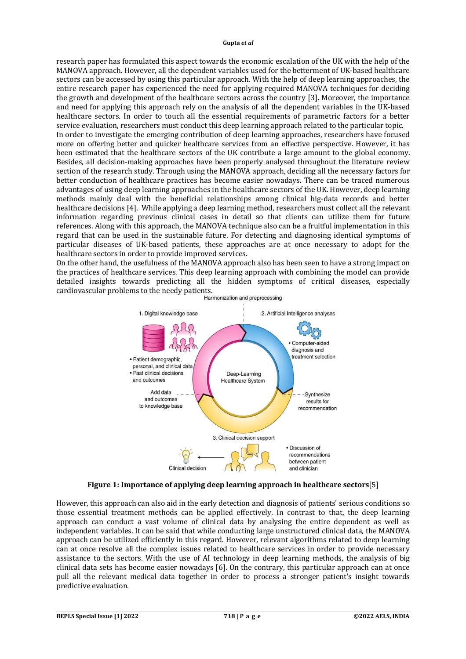research paper has formulated this aspect towards the economic escalation of the UK with the help of the MANOVA approach. However, all the dependent variables used for the betterment of UK-based healthcare sectors can be accessed by using this particular approach. With the help of deep learning approaches, the entire research paper has experienced the need for applying required MANOVA techniques for deciding the growth and development of the healthcare sectors across the country [3]. Moreover, the importance and need for applying this approach rely on the analysis of all the dependent variables in the UK-based healthcare sectors. In order to touch all the essential requirements of parametric factors for a better service evaluation, researchers must conduct this deep learning approach related to the particular topic. In order to investigate the emerging contribution of deep learning approaches, researchers have focused more on offering better and quicker healthcare services from an effective perspective. However, it has been estimated that the healthcare sectors of the UK contribute a large amount to the global economy. Besides, all decision-making approaches have been properly analysed throughout the literature review section of the research study. Through using the MANOVA approach, deciding all the necessary factors for better conduction of healthcare practices has become easier nowadays. There can be traced numerous advantages of using deep learning approaches in the healthcare sectors of the UK. However, deep learning methods mainly deal with the beneficial relationships among clinical big-data records and better healthcare decisions [4]. While applying a deep learning method, researchers must collect all the relevant information regarding previous clinical cases in detail so that clients can utilize them for future references. Along with this approach, the MANOVA technique also can be a fruitful implementation in this regard that can be used in the sustainable future. For detecting and diagnosing identical symptoms of particular diseases of UK-based patients, these approaches are at once necessary to adopt for the healthcare sectors in order to provide improved services.

On the other hand, the usefulness of the MANOVA approach also has been seen to have a strong impact on the practices of healthcare services. This deep learning approach with combining the model can provide detailed insights towards predicting all the hidden symptoms of critical diseases, especially cardiovascular problems to the needy patients.



**Figure 1: Importance of applying deep learning approach in healthcare sectors**[5]

However, this approach can also aid in the early detection and diagnosis of patients' serious conditions so those essential treatment methods can be applied effectively. In contrast to that, the deep learning approach can conduct a vast volume of clinical data by analysing the entire dependent as well as independent variables. It can be said that while conducting large unstructured clinical data, the MANOVA approach can be utilized efficiently in this regard. However, relevant algorithms related to deep learning can at once resolve all the complex issues related to healthcare services in order to provide necessary assistance to the sectors. With the use of AI technology in deep learning methods, the analysis of big clinical data sets has become easier nowadays [6]. On the contrary, this particular approach can at once pull all the relevant medical data together in order to process a stronger patient's insight towards predictive evaluation.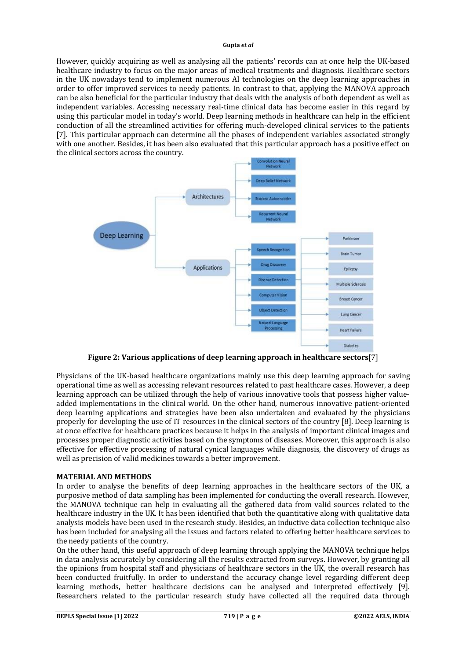However, quickly acquiring as well as analysing all the patients' records can at once help the UK-based healthcare industry to focus on the major areas of medical treatments and diagnosis. Healthcare sectors in the UK nowadays tend to implement numerous AI technologies on the deep learning approaches in order to offer improved services to needy patients. In contrast to that, applying the MANOVA approach can be also beneficial for the particular industry that deals with the analysis of both dependent as well as independent variables. Accessing necessary real-time clinical data has become easier in this regard by using this particular model in today's world. Deep learning methods in healthcare can help in the efficient conduction of all the streamlined activities for offering much-developed clinical services to the patients [7]. This particular approach can determine all the phases of independent variables associated strongly with one another. Besides, it has been also evaluated that this particular approach has a positive effect on the clinical sectors across the country.



**Figure 2: Various applications of deep learning approach in healthcare sectors**[7]

Physicians of the UK-based healthcare organizations mainly use this deep learning approach for saving operational time as well as accessing relevant resources related to past healthcare cases. However, a deep learning approach can be utilized through the help of various innovative tools that possess higher valueadded implementations in the clinical world. On the other hand, numerous innovative patient-oriented deep learning applications and strategies have been also undertaken and evaluated by the physicians properly for developing the use of IT resources in the clinical sectors of the country [8]. Deep learning is at once effective for healthcare practices because it helps in the analysis of important clinical images and processes proper diagnostic activities based on the symptoms of diseases. Moreover, this approach is also effective for effective processing of natural cynical languages while diagnosis, the discovery of drugs as well as precision of valid medicines towards a better improvement.

## **MATERIAL AND METHODS**

In order to analyse the benefits of deep learning approaches in the healthcare sectors of the UK, a purposive method of data sampling has been implemented for conducting the overall research. However, the MANOVA technique can help in evaluating all the gathered data from valid sources related to the healthcare industry in the UK. It has been identified that both the quantitative along with qualitative data analysis models have been used in the research study. Besides, an inductive data collection technique also has been included for analysing all the issues and factors related to offering better healthcare services to the needy patients of the country.

On the other hand, this useful approach of deep learning through applying the MANOVA technique helps in data analysis accurately by considering all the results extracted from surveys. However, by granting all the opinions from hospital staff and physicians of healthcare sectors in the UK, the overall research has been conducted fruitfully. In order to understand the accuracy change level regarding different deep learning methods, better healthcare decisions can be analysed and interpreted effectively [9]. Researchers related to the particular research study have collected all the required data through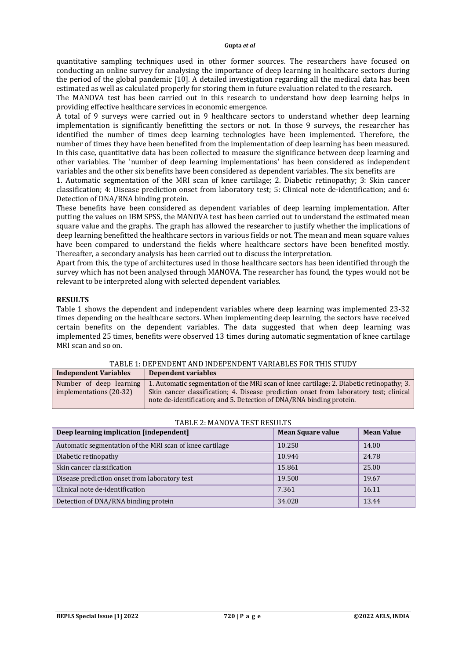quantitative sampling techniques used in other former sources. The researchers have focused on conducting an online survey for analysing the importance of deep learning in healthcare sectors during the period of the global pandemic [10]. A detailed investigation regarding all the medical data has been estimated as well as calculated properly for storing them in future evaluation related to the research.

The MANOVA test has been carried out in this research to understand how deep learning helps in providing effective healthcare services in economic emergence.

A total of 9 surveys were carried out in 9 healthcare sectors to understand whether deep learning implementation is significantly benefitting the sectors or not. In those 9 surveys, the researcher has identified the number of times deep learning technologies have been implemented. Therefore, the number of times they have been benefited from the implementation of deep learning has been measured. In this case, quantitative data has been collected to measure the significance between deep learning and other variables. The 'number of deep learning implementations' has been considered as independent variables and the other six benefits have been considered as dependent variables. The six benefits are

1. Automatic segmentation of the MRI scan of knee cartilage; 2. Diabetic retinopathy; 3: Skin cancer classification; 4: Disease prediction onset from laboratory test; 5: Clinical note de-identification; and 6: Detection of DNA/RNA binding protein.

These benefits have been considered as dependent variables of deep learning implementation. After putting the values on IBM SPSS, the MANOVA test has been carried out to understand the estimated mean square value and the graphs. The graph has allowed the researcher to justify whether the implications of deep learning benefitted the healthcare sectors in various fields or not. The mean and mean square values have been compared to understand the fields where healthcare sectors have been benefited mostly. Thereafter, a secondary analysis has been carried out to discuss the interpretation.

Apart from this, the type of architectures used in those healthcare sectors has been identified through the survey which has not been analysed through MANOVA. The researcher has found, the types would not be relevant to be interpreted along with selected dependent variables.

## **RESULTS**

Table 1 shows the dependent and independent variables where deep learning was implemented 23-32 times depending on the healthcare sectors. When implementing deep learning, the sectors have received certain benefits on the dependent variables. The data suggested that when deep learning was implemented 25 times, benefits were observed 13 times during automatic segmentation of knee cartilage MRI scan and so on.

TABLE 1: DEPENDENT AND INDEPENDENT VARIABLES FOR THIS STUDY

| <b>Independent Variables</b>                       | Dependent variables                                                                                                                                                                                                                                        |
|----------------------------------------------------|------------------------------------------------------------------------------------------------------------------------------------------------------------------------------------------------------------------------------------------------------------|
| Number of deep learning<br>implementations (20-32) | 1. Automatic segmentation of the MRI scan of knee cartilage; 2. Diabetic retinopathy; 3.<br>Skin cancer classification; 4. Disease prediction onset from laboratory test; clinical<br>note de-identification; and 5. Detection of DNA/RNA binding protein. |

| Deep learning implication [independent]                  | <b>Mean Square value</b> | <b>Mean Value</b> |
|----------------------------------------------------------|--------------------------|-------------------|
| Automatic segmentation of the MRI scan of knee cartilage | 10.250                   | 14.00             |
| Diabetic retinopathy                                     | 10.944                   | 24.78             |
| Skin cancer classification                               | 15.861                   | 25.00             |
| Disease prediction onset from laboratory test            | 19.500                   | 19.67             |
| Clinical note de-identification                          | 7.361                    | 16.11             |
| Detection of DNA/RNA binding protein                     | 34.028                   | 13.44             |

### TABLE 2: MANOVA TEST RESULTS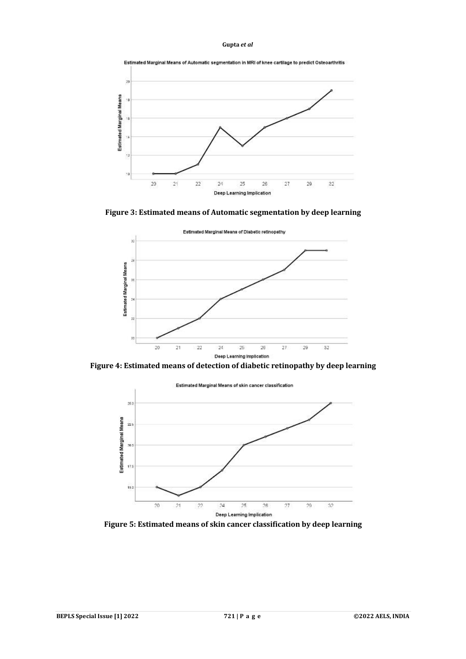

**Figure 3: Estimated means of Automatic segmentation by deep learning**



**Figure 4: Estimated means of detection of diabetic retinopathy by deep learning**



**Figure 5: Estimated means of skin cancer classification by deep learning**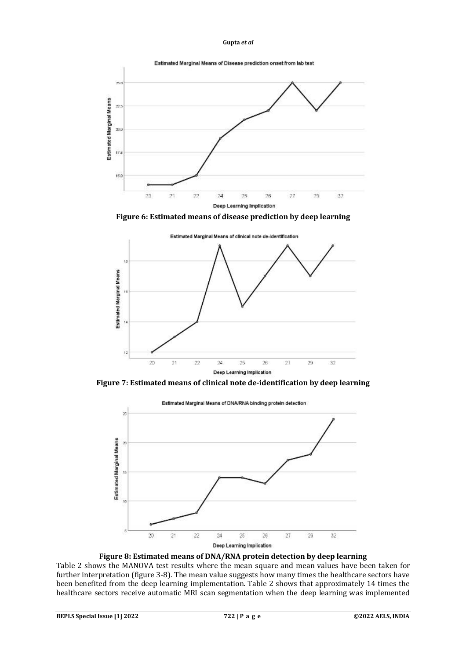

**Figure 6: Estimated means of disease prediction by deep learning**



**Figure 7: Estimated means of clinical note de-identification by deep learning**



**Figure 8: Estimated means of DNA/RNA protein detection by deep learning**

Table 2 shows the MANOVA test results where the mean square and mean values have been taken for further interpretation (figure 3-8). The mean value suggests how many times the healthcare sectors have been benefited from the deep learning implementation. Table 2 shows that approximately 14 times the healthcare sectors receive automatic MRI scan segmentation when the deep learning was implemented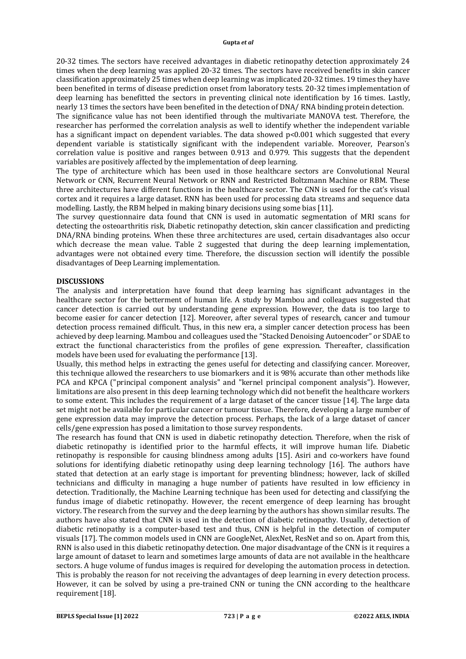20-32 times. The sectors have received advantages in diabetic retinopathy detection approximately 24 times when the deep learning was applied 20-32 times. The sectors have received benefits in skin cancer classification approximately 25 times when deep learning was implicated 20-32 times. 19 times they have been benefited in terms of disease prediction onset from laboratory tests. 20-32 times implementation of deep learning has benefitted the sectors in preventing clinical note identification by 16 times. Lastly, nearly 13 times the sectors have been benefited in the detection of DNA/ RNA binding protein detection.

The significance value has not been identified through the multivariate MANOVA test. Therefore, the researcher has performed the correlation analysis as well to identify whether the independent variable has a significant impact on dependent variables. The data showed p<0.001 which suggested that every dependent variable is statistically significant with the independent variable. Moreover, Pearson's correlation value is positive and ranges between 0.913 and 0.979. This suggests that the dependent variables are positively affected by the implementation of deep learning.

The type of architecture which has been used in those healthcare sectors are Convolutional Neural Network or CNN, Recurrent Neural Network or RNN and Restricted Boltzmann Machine or RBM. These three architectures have different functions in the healthcare sector. The CNN is used for the cat's visual cortex and it requires a large dataset. RNN has been used for processing data streams and sequence data modelling. Lastly, the RBM helped in making binary decisions using some bias [11].

The survey questionnaire data found that CNN is used in automatic segmentation of MRI scans for detecting the osteoarthritis risk, Diabetic retinopathy detection, skin cancer classification and predicting DNA/RNA binding proteins. When these three architectures are used, certain disadvantages also occur which decrease the mean value. Table 2 suggested that during the deep learning implementation, advantages were not obtained every time. Therefore, the discussion section will identify the possible disadvantages of Deep Learning implementation.

## **DISCUSSIONS**

The analysis and interpretation have found that deep learning has significant advantages in the healthcare sector for the betterment of human life. A study by Mambou and colleagues suggested that cancer detection is carried out by understanding gene expression. However, the data is too large to become easier for cancer detection [12]. Moreover, after several types of research, cancer and tumour detection process remained difficult. Thus, in this new era, a simpler cancer detection process has been achieved by deep learning. Mambou and colleagues used the "Stacked Denoising Autoencoder" or SDAE to extract the functional characteristics from the profiles of gene expression. Thereafter, classification models have been used for evaluating the performance [13].

Usually, this method helps in extracting the genes useful for detecting and classifying cancer. Moreover, this technique allowed the researchers to use biomarkers and it is 98% accurate than other methods like PCA and KPCA ("principal component analysis" and "kernel principal component analysis"). However, limitations are also present in this deep learning technology which did not benefit the healthcare workers to some extent. This includes the requirement of a large dataset of the cancer tissue [14]. The large data set might not be available for particular cancer or tumour tissue. Therefore, developing a large number of gene expression data may improve the detection process. Perhaps, the lack of a large dataset of cancer cells/gene expression has posed a limitation to those survey respondents.

The research has found that CNN is used in diabetic retinopathy detection. Therefore, when the risk of diabetic retinopathy is identified prior to the harmful effects, it will improve human life. Diabetic retinopathy is responsible for causing blindness among adults [15]. Asiri and co-workers have found solutions for identifying diabetic retinopathy using deep learning technology [16]. The authors have stated that detection at an early stage is important for preventing blindness; however, lack of skilled technicians and difficulty in managing a huge number of patients have resulted in low efficiency in detection. Traditionally, the Machine Learning technique has been used for detecting and classifying the fundus image of diabetic retinopathy. However, the recent emergence of deep learning has brought victory. The research from the survey and the deep learning by the authors has shown similar results. The authors have also stated that CNN is used in the detection of diabetic retinopathy. Usually, detection of diabetic retinopathy is a computer-based test and thus, CNN is helpful in the detection of computer visuals [17]. The common models used in CNN are GoogleNet, AlexNet, ResNet and so on. Apart from this, RNN is also used in this diabetic retinopathy detection. One major disadvantage of the CNN is it requires a large amount of dataset to learn and sometimes large amounts of data are not available in the healthcare sectors. A huge volume of fundus images is required for developing the automation process in detection. This is probably the reason for not receiving the advantages of deep learning in every detection process. However, it can be solved by using a pre-trained CNN or tuning the CNN according to the healthcare requirement [18].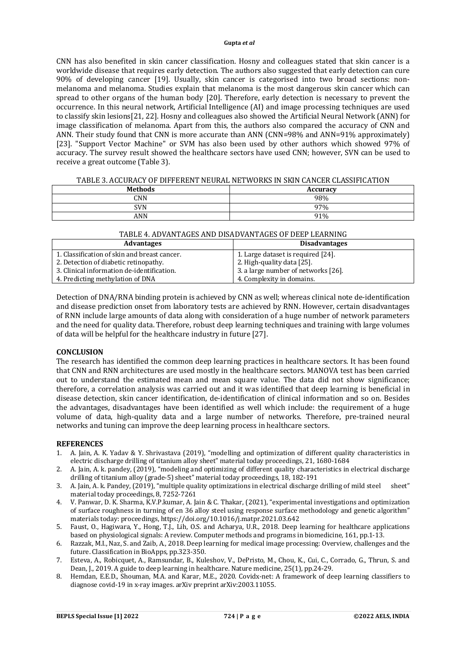CNN has also benefited in skin cancer classification. Hosny and colleagues stated that skin cancer is a worldwide disease that requires early detection. The authors also suggested that early detection can cure 90% of developing cancer [19]. Usually, skin cancer is categorised into two broad sections: nonmelanoma and melanoma. Studies explain that melanoma is the most dangerous skin cancer which can spread to other organs of the human body [20]. Therefore, early detection is necessary to prevent the occurrence. In this neural network, Artificial Intelligence (AI) and image processing techniques are used to classify skin lesions[21, 22]. Hosny and colleagues also showed the Artificial Neural Network (ANN) for image classification of melanoma. Apart from this, the authors also compared the accuracy of CNN and ANN. Their study found that CNN is more accurate than ANN (CNN=98% and ANN=91% approximately) [23]. "Support Vector Machine" or SVM has also been used by other authors which showed 97% of accuracy. The survey result showed the healthcare sectors have used CNN; however, SVN can be used to receive a great outcome (Table 3).

| 111000 3.1100010101 OF DIFFERENT REQUABINETY ORING IN SINN CARGER CERSON RAFFION |                 |  |
|----------------------------------------------------------------------------------|-----------------|--|
| <b>Methods</b>                                                                   | <b>Accuracy</b> |  |
| CNN                                                                              | 98%             |  |
| SVN                                                                              | 97%             |  |
| ANN                                                                              | 91%             |  |

| TABLE 3. ACCURACY OF DIFFERENT NEURAL NETWORKS IN SKIN CANCER CLASSIFICATION |
|------------------------------------------------------------------------------|
|------------------------------------------------------------------------------|

## TABLE 4. ADVANTAGES AND DISADVANTAGES OF DEEP LEARNING

| <b>Advantages</b>                            | <b>Disadvantages</b>                |
|----------------------------------------------|-------------------------------------|
| 1. Classification of skin and breast cancer. | 1. Large dataset is required [24].  |
| 2. Detection of diabetic retinopathy.        | 2. High-quality data [25].          |
| 3. Clinical information de-identification.   | 3. a large number of networks [26]. |
| 4. Predicting methylation of DNA             | 4. Complexity in domains.           |

Detection of DNA/RNA binding protein is achieved by CNN as well; whereas clinical note de-identification and disease prediction onset from laboratory tests are achieved by RNN. However, certain disadvantages of RNN include large amounts of data along with consideration of a huge number of network parameters and the need for quality data. Therefore, robust deep learning techniques and training with large volumes of data will be helpful for the healthcare industry in future [27].

## **CONCLUSION**

The research has identified the common deep learning practices in healthcare sectors. It has been found that CNN and RNN architectures are used mostly in the healthcare sectors. MANOVA test has been carried out to understand the estimated mean and mean square value. The data did not show significance; therefore, a correlation analysis was carried out and it was identified that deep learning is beneficial in disease detection, skin cancer identification, de-identification of clinical information and so on. Besides the advantages, disadvantages have been identified as well which include: the requirement of a huge volume of data, high-quality data and a large number of networks. Therefore, pre-trained neural networks and tuning can improve the deep learning process in healthcare sectors.

### **REFERENCES**

- 1. A. Jain, A. K. Yadav & Y. Shrivastava (2019), "modelling and optimization of different quality characteristics in electric discharge drilling of titanium alloy sheet" material today proceedings, 21, 1680-1684
- 2. A. Jain, A. k. pandey, (2019), "modeling and optimizing of different quality characteristics in electrical discharge drilling of titanium alloy (grade-5) sheet" material today proceedings, 18, 182-191
- 3. A. Jain, A. k. Pandey, (2019), "multiple quality optimizations in electrical discharge drilling of mild steel sheet" material today proceedings, 8, 7252-7261
- 4. V. Panwar, D. K. Sharma, K.V.P.kumar, A. Jain & C. Thakar, (2021), "experimental investigations and optimization of surface roughness in turning of en 36 alloy steel using response surface methodology and genetic algorithm" materials today: proceedings,<https://doi.org/10.1016/j.matpr.2021.03.642>
- 5. Faust, O., Hagiwara, Y., Hong, T.J., Lih, O.S. and Acharya, U.R., 2018. Deep learning for healthcare applications based on physiological signals: A review. Computer methods and programs in biomedicine, 161, pp.1-13.
- 6. Razzak, M.I., Naz, S. and Zaib, A., 2018. Deep learning for medical image processing: Overview, challenges and the future. Classification in BioApps, pp.323-350.
- 7. Esteva, A., Robicquet, A., Ramsundar, B., Kuleshov, V., DePristo, M., Chou, K., Cui, C., Corrado, G., Thrun, S. and Dean, J., 2019. A guide to deep learning in healthcare. Nature medicine, 25(1), pp.24-29.
- 8. Hemdan, E.E.D., Shouman, M.A. and Karar, M.E., 2020. Covidx-net: A framework of deep learning classifiers to diagnose covid-19 in x-ray images. arXiv preprint arXiv:2003.11055.